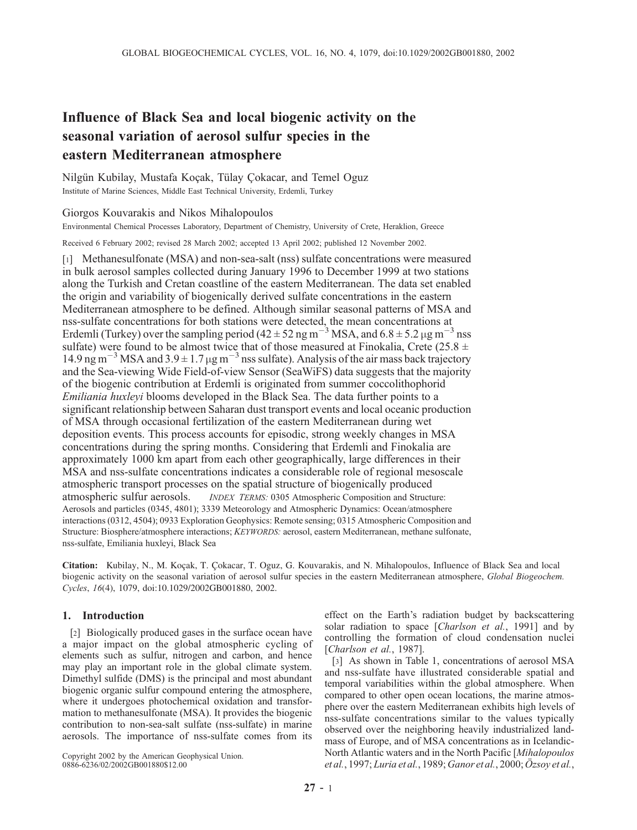# Influence of Black Sea and local biogenic activity on the seasonal variation of aerosol sulfur species in the eastern Mediterranean atmosphere

Nilgün Kubilay, Mustafa Koçak, Tülay Çokacar, and Temel Oguz Institute of Marine Sciences, Middle East Technical University, Erdemli, Turkey

# Giorgos Kouvarakis and Nikos Mihalopoulos

Environmental Chemical Processes Laboratory, Department of Chemistry, University of Crete, Heraklion, Greece

Received 6 February 2002; revised 28 March 2002; accepted 13 April 2002; published 12 November 2002.

[1] Methanesulfonate (MSA) and non-sea-salt (nss) sulfate concentrations were measured in bulk aerosol samples collected during January 1996 to December 1999 at two stations along the Turkish and Cretan coastline of the eastern Mediterranean. The data set enabled the origin and variability of biogenically derived sulfate concentrations in the eastern Mediterranean atmosphere to be defined. Although similar seasonal patterns of MSA and nss-sulfate concentrations for both stations were detected, the mean concentrations at Erdemli (Turkey) over the sampling period  $(42 \pm 52 \text{ ng m}^{-3} \text{ MSA}$ , and  $6.8 \pm 5.2 \mu \text{g m}^{-3} \text{ nss}$ sulfate) were found to be almost twice that of those measured at Finokalia, Crete (25.8  $\pm$ 14.9 ng m<sup>-3</sup> MSA and 3.9  $\pm$  1.7  $\mu$ g m<sup>-3</sup> nss sulfate). Analysis of the air mass back trajectory and the Sea-viewing Wide Field-of-view Sensor (SeaWiFS) data suggests that the majority of the biogenic contribution at Erdemli is originated from summer coccolithophorid Emiliania huxleyi blooms developed in the Black Sea. The data further points to a significant relationship between Saharan dust transport events and local oceanic production of MSA through occasional fertilization of the eastern Mediterranean during wet deposition events. This process accounts for episodic, strong weekly changes in MSA concentrations during the spring months. Considering that Erdemli and Finokalia are approximately 1000 km apart from each other geographically, large differences in their MSA and nss-sulfate concentrations indicates a considerable role of regional mesoscale atmospheric transport processes on the spatial structure of biogenically produced atmospheric sulfur aerosols. INDEX TERMS: 0305 Atmospheric Composition and Structure: Aerosols and particles (0345, 4801); 3339 Meteorology and Atmospheric Dynamics: Ocean/atmosphere interactions (0312, 4504); 0933 Exploration Geophysics: Remote sensing; 0315 Atmospheric Composition and Structure: Biosphere/atmosphere interactions; KEYWORDS: aerosol, eastern Mediterranean, methane sulfonate, nss-sulfate, Emiliania huxleyi, Black Sea

Citation: Kubilay, N., M. Koçak, T. Çokacar, T. Oguz, G. Kouvarakis, and N. Mihalopoulos, Influence of Black Sea and local biogenic activity on the seasonal variation of aerosol sulfur species in the eastern Mediterranean atmosphere, Global Biogeochem. Cycles, 16(4), 1079, doi:10.1029/2002GB001880, 2002.

# 1. Introduction

[2] Biologically produced gases in the surface ocean have a major impact on the global atmospheric cycling of elements such as sulfur, nitrogen and carbon, and hence may play an important role in the global climate system. Dimethyl sulfide (DMS) is the principal and most abundant biogenic organic sulfur compound entering the atmosphere, where it undergoes photochemical oxidation and transformation to methanesulfonate (MSA). It provides the biogenic contribution to non-sea-salt sulfate (nss-sulfate) in marine aerosols. The importance of nss-sulfate comes from its

effect on the Earth's radiation budget by backscattering solar radiation to space [Charlson et al., 1991] and by controlling the formation of cloud condensation nuclei [Charlson et al., 1987].

[3] As shown in Table 1, concentrations of aerosol MSA and nss-sulfate have illustrated considerable spatial and temporal variabilities within the global atmosphere. When compared to other open ocean locations, the marine atmosphere over the eastern Mediterranean exhibits high levels of nss-sulfate concentrations similar to the values typically observed over the neighboring heavily industrialized landmass of Europe, and of MSA concentrations as in Icelandic-North Atlantic waters and in the North Pacific [Mihalopoulos et al., 1997; Luria et al., 1989; Ganor et al., 2000; Özsoy et al.,

Copyright 2002 by the American Geophysical Union. 0886-6236/02/2002GB001880\$12.00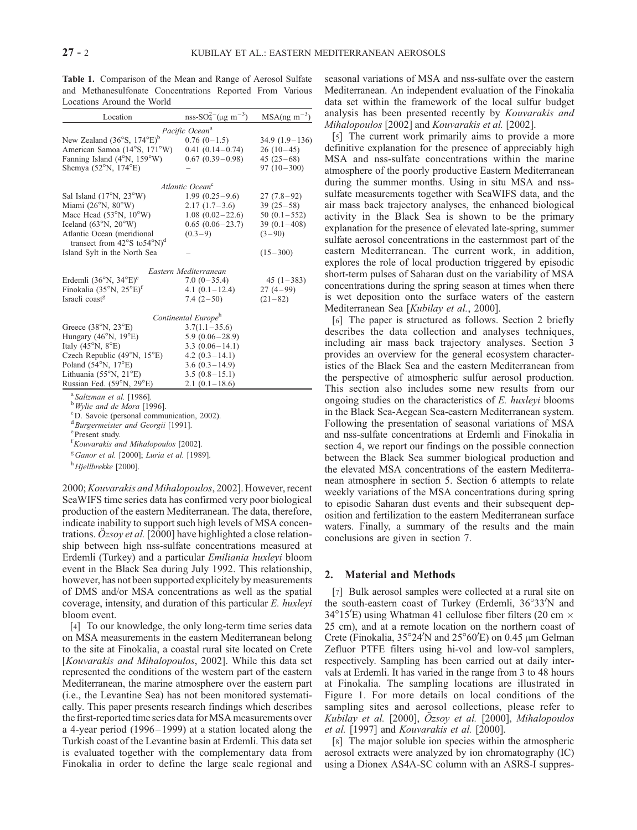Table 1. Comparison of the Mean and Range of Aerosol Sulfate and Methanesulfonate Concentrations Reported From Various Locations Around the World

| Location                                                                                   | nss-SO <sub>4</sub> <sup>-</sup> ( $\mu$ g m <sup>-3</sup> ) | $MSA(ng m-3)$   |
|--------------------------------------------------------------------------------------------|--------------------------------------------------------------|-----------------|
|                                                                                            | Pacific Ocean <sup>a</sup>                                   |                 |
| New Zealand (36°S, 174°E) <sup>b</sup>                                                     | $0.76(0-1.5)$                                                | $34.9(1.9-136)$ |
| American Samoa (14°S, 171°W)                                                               | $0.41(0.14-0.74)$                                            | $26(10-45)$     |
| Fanning Island (4°N, 159°W)                                                                | $0.67(0.39-0.98)$                                            | $45(25-68)$     |
| Shemya $(52^{\circ}N, 174^{\circ}E)$                                                       |                                                              | $97(10-300)$    |
|                                                                                            | Atlantic Ocean <sup>c</sup>                                  |                 |
| Sal Island $(17^{\circ}N, 23^{\circ}W)$                                                    | $1.99(0.25-9.6)$                                             | $27(7.8-92)$    |
| Miami $(26^{\circ}N, 80^{\circ}W)$                                                         | $2.17(1.7-3.6)$                                              | $39(25-58)$     |
| Mace Head $(53^{\circ}N, 10^{\circ}W)$                                                     | $1.08(0.02-22.6)$                                            | $50(0.1 - 552)$ |
| Iceland $(63^{\circ}N, 20^{\circ}W)$                                                       | $0.65(0.06-23.7)$                                            | $39(0.1-408)$   |
| Atlantic Ocean (meridional<br>transect from $42^{\circ}$ S to $54^{\circ}$ N) <sup>d</sup> | $(0.3-9)$                                                    | $(3-90)$        |
| Island Sylt in the North Sea                                                               |                                                              | $(15 - 300)$    |
|                                                                                            | Eastern Mediterranean                                        |                 |
| Erdemli $(36^{\circ}N, 34^{\circ}E)^{e}$                                                   | $7.0(0-35.4)$                                                | 45 $(1-383)$    |
| Finokalia $(35^{\circ}N, 25^{\circ}E)^{t}$                                                 | 4.1 $(0.1-12.4)$                                             | $27(4-99)$      |
| Israeli coast <sup>g</sup>                                                                 | 7.4 $(2-50)$                                                 | $(21-82)$       |
|                                                                                            | Continental Europe <sup>h</sup>                              |                 |
| Greece $(38^{\circ}N, 23^{\circ}E)$                                                        | $3.7(1.1 - 35.6)$                                            |                 |
| Hungary $(46^{\circ}N, 19^{\circ}E)$                                                       | $5.9(0.06-28.9)$                                             |                 |
| Italy $(45^{\circ}N, 8^{\circ}E)$                                                          | $3.3(0.06-14.1)$                                             |                 |
| Czech Republic $(49°N, 15°E)$                                                              | 4.2 $(0.3-14.1)$                                             |                 |
| Poland $(54^{\circ}N, 17^{\circ}E)$                                                        | $3.6(0.3 - 14.9)$                                            |                 |
| Lithuania $(55^{\circ}N, 21^{\circ}E)$                                                     | $3.5(0.8-15.1)$                                              |                 |
| Russian Fed. (59°N, 29°E)                                                                  | $2.1(0.1 - 18.6)$                                            |                 |

<sup>a</sup> Saltzman et al. [1986].<br><sup>b</sup> Wylie and de Mora [1996].

D. Savoie (personal communication, 2002).

 $\sigma^d$ Burgermeister and Georgii [1991].

Present study.

f Kouvarakis and Mihalopoulos [2002].

 $g_{Ganor}$  et al. [2000]; Luria et al. [1989].

<sup>h</sup> Hjellbrekke [2000].

2000;Kouvarakis and Mihalopoulos, 2002]. However, recent SeaWIFS time series data has confirmed very poor biological production of the eastern Mediterranean. The data, therefore, indicate inability to support such high levels of MSA concentrations.  $\ddot{O}zsoy$  et al. [2000] have highlighted a close relationship between high nss-sulfate concentrations measured at Erdemli (Turkey) and a particular Emiliania huxleyi bloom event in the Black Sea during July 1992. This relationship, however, has not been supported explicitely by measurements of DMS and/or MSA concentrations as well as the spatial coverage, intensity, and duration of this particular E. huxleyi bloom event.

[4] To our knowledge, the only long-term time series data on MSA measurements in the eastern Mediterranean belong to the site at Finokalia, a coastal rural site located on Crete [Kouvarakis and Mihalopoulos, 2002]. While this data set represented the conditions of the western part of the eastern Mediterranean, the marine atmosphere over the eastern part (i.e., the Levantine Sea) has not been monitored systematically. This paper presents research findings which describes the first-reported time series data for MSA measurements over a 4-year period (1996–1999) at a station located along the Turkish coast of the Levantine basin at Erdemli. This data set is evaluated together with the complementary data from Finokalia in order to define the large scale regional and seasonal variations of MSA and nss-sulfate over the eastern Mediterranean. An independent evaluation of the Finokalia data set within the framework of the local sulfur budget analysis has been presented recently by Kouvarakis and Mihalopoulos [2002] and Kouvarakis et al. [2002].

[5] The current work primarily aims to provide a more definitive explanation for the presence of appreciably high MSA and nss-sulfate concentrations within the marine atmosphere of the poorly productive Eastern Mediterranean during the summer months. Using in situ MSA and nsssulfate measurements together with SeaWIFS data, and the air mass back trajectory analyses, the enhanced biological activity in the Black Sea is shown to be the primary explanation for the presence of elevated late-spring, summer sulfate aerosol concentrations in the easternmost part of the eastern Mediterranean. The current work, in addition, explores the role of local production triggered by episodic short-term pulses of Saharan dust on the variability of MSA concentrations during the spring season at times when there is wet deposition onto the surface waters of the eastern Mediterranean Sea [Kubilay et al., 2000].

[6] The paper is structured as follows. Section 2 briefly describes the data collection and analyses techniques, including air mass back trajectory analyses. Section 3 provides an overview for the general ecosystem characteristics of the Black Sea and the eastern Mediterranean from the perspective of atmospheric sulfur aerosol production. This section also includes some new results from our ongoing studies on the characteristics of E. huxleyi blooms in the Black Sea-Aegean Sea-eastern Mediterranean system. Following the presentation of seasonal variations of MSA and nss-sulfate concentrations at Erdemli and Finokalia in section 4, we report our findings on the possible connection between the Black Sea summer biological production and the elevated MSA concentrations of the eastern Mediterranean atmosphere in section 5. Section 6 attempts to relate weekly variations of the MSA concentrations during spring to episodic Saharan dust events and their subsequent deposition and fertilization to the eastern Mediterranean surface waters. Finally, a summary of the results and the main conclusions are given in section 7.

### 2. Material and Methods

[7] Bulk aerosol samples were collected at a rural site on the south-eastern coast of Turkey (Erdemli, 36°33'N and 34°15′E) using Whatman 41 cellulose fiber filters (20 cm  $\times$ 25 cm), and at a remote location on the northern coast of Crete (Finokalia,  $35^{\circ}24'N$  and  $25^{\circ}60'E$ ) on 0.45 µm Gelman Zefluor PTFE filters using hi-vol and low-vol samplers, respectively. Sampling has been carried out at daily intervals at Erdemli. It has varied in the range from 3 to 48 hours at Finokalia. The sampling locations are illustrated in Figure 1. For more details on local conditions of the sampling sites and aerosol collections, please refer to Kubilay et al.  $[2000]$ ,  $\ddot{O}zsoy$  et al.  $[2000]$ , Mihalopoulos et al. [1997] and Kouvarakis et al. [2000].

[8] The major soluble ion species within the atmospheric aerosol extracts were analyzed by ion chromatography (IC) using a Dionex AS4A-SC column with an ASRS-I suppres-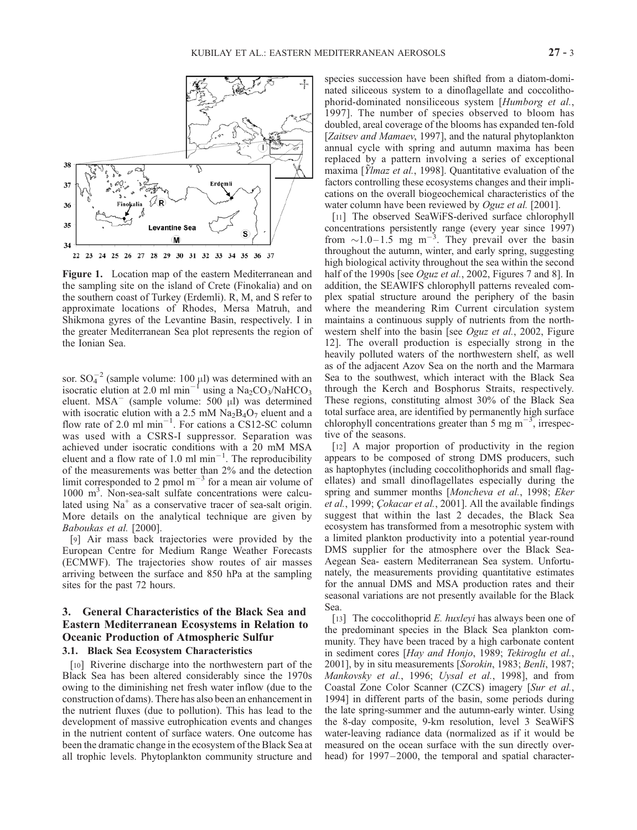

Figure 1. Location map of the eastern Mediterranean and the sampling site on the island of Crete (Finokalia) and on the southern coast of Turkey (Erdemli). R, M, and S refer to approximate locations of Rhodes, Mersa Matruh, and Shikmona gyres of the Levantine Basin, respectively. I in the greater Mediterranean Sea plot represents the region of the Ionian Sea.

sor.  $SO_4^{-2}$  (sample volume: 100  $\mu$ l) was determined with an isocratic elution at 2.0 ml min<sup>-1</sup> using a Na<sub>2</sub>CO<sub>3</sub>/NaHCO<sub>3</sub> eluent.  $MSA^-$  (sample volume: 500  $\mu$ l) was determined with isocratic elution with a 2.5 mM  $Na<sub>2</sub>B<sub>4</sub>O<sub>7</sub>$  eluent and a flow rate of 2.0 ml min<sup>-1</sup>. For cations a CS12-SC column was used with a CSRS-I suppressor. Separation was achieved under isocratic conditions with a 20 mM MSA eluent and a flow rate of 1.0 ml  $min^{-1}$ . The reproducibility of the measurements was better than 2% and the detection limit corresponded to 2 pmol  $m^{-3}$  for a mean air volume of 1000 m<sup>3</sup>. Non-sea-salt sulfate concentrations were calculated using  $Na<sup>+</sup>$  as a conservative tracer of sea-salt origin. More details on the analytical technique are given by Baboukas et al. [2000].

[9] Air mass back trajectories were provided by the European Centre for Medium Range Weather Forecasts (ECMWF). The trajectories show routes of air masses arriving between the surface and 850 hPa at the sampling sites for the past 72 hours.

# 3. General Characteristics of the Black Sea and Eastern Mediterranean Ecosystems in Relation to Oceanic Production of Atmospheric Sulfur

### 3.1. Black Sea Ecosystem Characteristics

[10] Riverine discharge into the northwestern part of the Black Sea has been altered considerably since the 1970s owing to the diminishing net fresh water inflow (due to the construction of dams). There has also been an enhancement in the nutrient fluxes (due to pollution). This has lead to the development of massive eutrophication events and changes in the nutrient content of surface waters. One outcome has been the dramatic change in the ecosystem of the Black Sea at all trophic levels. Phytoplankton community structure and

species succession have been shifted from a diatom-dominated siliceous system to a dinoflagellate and coccolithophorid-dominated nonsiliceous system [Humborg et al., 1997]. The number of species observed to bloom has doubled, areal coverage of the blooms has expanded ten-fold [Zaitsev and Mamaev, 1997], and the natural phytoplankton annual cycle with spring and autumn maxima has been replaced by a pattern involving a series of exceptional maxima [ $\tilde{Y}$ *lmaz et al.*, 1998]. Quantitative evaluation of the factors controlling these ecosystems changes and their implications on the overall biogeochemical characteristics of the water column have been reviewed by *Oguz et al.* [2001].

[11] The observed SeaWiFS-derived surface chlorophyll concentrations persistently range (every year since 1997) from  $\sim$ 1.0–1.5 mg m<sup>-3</sup>. They prevail over the basin throughout the autumn, winter, and early spring, suggesting high biological activity throughout the sea within the second half of the 1990s [see *Oguz et al.*, 2002, Figures 7 and 8]. In addition, the SEAWIFS chlorophyll patterns revealed complex spatial structure around the periphery of the basin where the meandering Rim Current circulation system maintains a continuous supply of nutrients from the northwestern shelf into the basin [see *Oguz et al.*, 2002, Figure 12]. The overall production is especially strong in the heavily polluted waters of the northwestern shelf, as well as of the adjacent Azov Sea on the north and the Marmara Sea to the southwest, which interact with the Black Sea through the Kerch and Bosphorus Straits, respectively. These regions, constituting almost 30% of the Black Sea total surface area, are identified by permanently high surface chlorophyll concentrations greater than 5 mg  $\text{m}^{-3}$ , irrespective of the seasons.

[12] A major proportion of productivity in the region appears to be composed of strong DMS producers, such as haptophytes (including coccolithophorids and small flagellates) and small dinoflagellates especially during the spring and summer months [Moncheva et al., 1998; Eker et al., 1999; Çokacar et al., 2001]. All the available findings suggest that within the last 2 decades, the Black Sea ecosystem has transformed from a mesotrophic system with a limited plankton productivity into a potential year-round DMS supplier for the atmosphere over the Black Sea-Aegean Sea- eastern Mediterranean Sea system. Unfortunately, the measurements providing quantitative estimates for the annual DMS and MSA production rates and their seasonal variations are not presently available for the Black Sea.

[13] The coccolithoprid E. huxleyi has always been one of the predominant species in the Black Sea plankton community. They have been traced by a high carbonate content in sediment cores [Hay and Honjo, 1989; Tekiroglu et al., 2001], by in situ measurements [Sorokin, 1983; Benli, 1987; Mankovsky et al., 1996; Uysal et al., 1998], and from Coastal Zone Color Scanner (CZCS) imagery [Sur et al., 1994] in different parts of the basin, some periods during the late spring-summer and the autumn-early winter. Using the 8-day composite, 9-km resolution, level 3 SeaWiFS water-leaving radiance data (normalized as if it would be measured on the ocean surface with the sun directly overhead) for 1997-2000, the temporal and spatial character-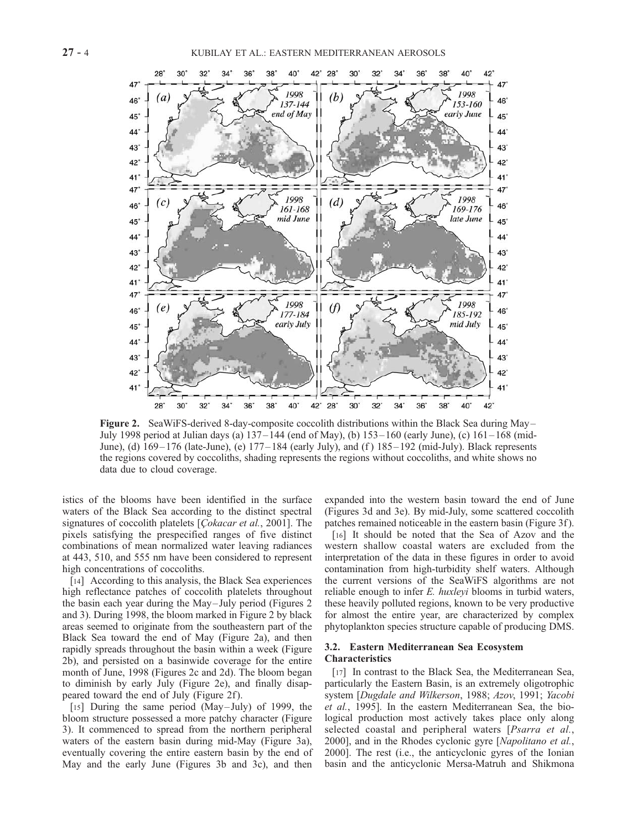

Figure 2. SeaWiFS-derived 8-day-composite coccolith distributions within the Black Sea during May – July 1998 period at Julian days (a) 137– 144 (end of May), (b) 153– 160 (early June), (c) 161– 168 (mid-June), (d) 169– 176 (late-June), (e) 177– 184 (early July), and (f ) 185– 192 (mid-July). Black represents the regions covered by coccoliths, shading represents the regions without coccoliths, and white shows no data due to cloud coverage.

istics of the blooms have been identified in the surface waters of the Black Sea according to the distinct spectral signatures of coccolith platelets [Cokacar et al., 2001]. The pixels satisfying the prespecified ranges of five distinct combinations of mean normalized water leaving radiances at 443, 510, and 555 nm have been considered to represent high concentrations of coccoliths.

[14] According to this analysis, the Black Sea experiences high reflectance patches of coccolith platelets throughout the basin each year during the May–July period (Figures 2 and 3). During 1998, the bloom marked in Figure 2 by black areas seemed to originate from the southeastern part of the Black Sea toward the end of May (Figure 2a), and then rapidly spreads throughout the basin within a week (Figure 2b), and persisted on a basinwide coverage for the entire month of June, 1998 (Figures 2c and 2d). The bloom began to diminish by early July (Figure 2e), and finally disappeared toward the end of July (Figure 2f).

[15] During the same period (May-July) of 1999, the bloom structure possessed a more patchy character (Figure 3). It commenced to spread from the northern peripheral waters of the eastern basin during mid-May (Figure 3a), eventually covering the entire eastern basin by the end of May and the early June (Figures 3b and 3c), and then

expanded into the western basin toward the end of June (Figures 3d and 3e). By mid-July, some scattered coccolith patches remained noticeable in the eastern basin (Figure 3f ).

[16] It should be noted that the Sea of Azov and the western shallow coastal waters are excluded from the interpretation of the data in these figures in order to avoid contamination from high-turbidity shelf waters. Although the current versions of the SeaWiFS algorithms are not reliable enough to infer E. huxleyi blooms in turbid waters, these heavily polluted regions, known to be very productive for almost the entire year, are characterized by complex phytoplankton species structure capable of producing DMS.

## 3.2. Eastern Mediterranean Sea Ecosystem **Characteristics**

[17] In contrast to the Black Sea, the Mediterranean Sea, particularly the Eastern Basin, is an extremely oligotrophic system [Dugdale and Wilkerson, 1988; Azov, 1991; Yacobi et al., 1995]. In the eastern Mediterranean Sea, the biological production most actively takes place only along selected coastal and peripheral waters [Psarra et al., 2000], and in the Rhodes cyclonic gyre [Napolitano et al., 2000]. The rest (i.e., the anticyclonic gyres of the Ionian basin and the anticyclonic Mersa-Matruh and Shikmona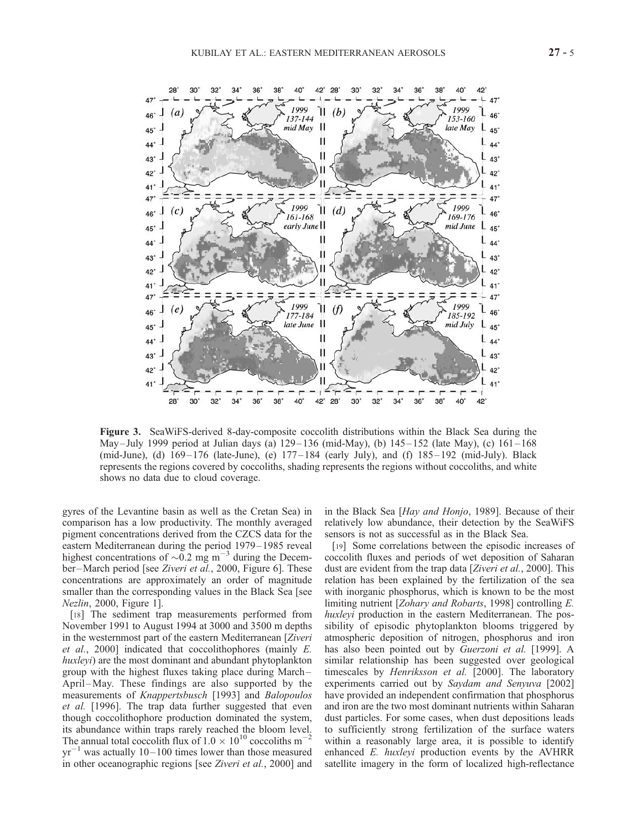

Figure 3. SeaWiFS-derived 8-day-composite coccolith distributions within the Black Sea during the May– July 1999 period at Julian days (a) 129– 136 (mid-May), (b) 145 – 152 (late May), (c) 161– 168 (mid-June), (d) 169– 176 (late-June), (e) 177 –184 (early July), and (f) 185 – 192 (mid-July). Black represents the regions covered by coccoliths, shading represents the regions without coccoliths, and white shows no data due to cloud coverage.

gyres of the Levantine basin as well as the Cretan Sea) in comparison has a low productivity. The monthly averaged pigment concentrations derived from the CZCS data for the eastern Mediterranean during the period 1979– 1985 reveal highest concentrations of  $\sim 0.2$  mg m<sup>-3</sup> during the December-March period [see Ziveri et al., 2000, Figure 6]. These concentrations are approximately an order of magnitude smaller than the corresponding values in the Black Sea [see Nezlin, 2000, Figure 1].

[18] The sediment trap measurements performed from November 1991 to August 1994 at 3000 and 3500 m depths in the westernmost part of the eastern Mediterranean [Ziveri et al., 2000] indicated that coccolithophores (mainly E. huxleyi) are the most dominant and abundant phytoplankton group with the highest fluxes taking place during March – April–May. These findings are also supported by the measurements of Knappertsbusch [1993] and Balopoulos et al. [1996]. The trap data further suggested that even though coccolithophore production dominated the system, its abundance within traps rarely reached the bloom level. The annual total coccolith flux of  $1.0 \times 10^{10}$  coccoliths m<sup>-2</sup>  $yr^{-1}$  was actually 10–100 times lower than those measured in other oceanographic regions [see Ziveri et al., 2000] and in the Black Sea [Hay and Honjo, 1989]. Because of their relatively low abundance, their detection by the SeaWiFS sensors is not as successful as in the Black Sea.

[19] Some correlations between the episodic increases of coccolith fluxes and periods of wet deposition of Saharan dust are evident from the trap data [Ziveri et al., 2000]. This relation has been explained by the fertilization of the sea with inorganic phosphorus, which is known to be the most limiting nutrient [Zohary and Robarts, 1998] controlling E. huxleyi production in the eastern Mediterranean. The possibility of episodic phytoplankton blooms triggered by atmospheric deposition of nitrogen, phosphorus and iron has also been pointed out by Guerzoni et al. [1999]. A similar relationship has been suggested over geological timescales by *Henriksson et al.* [2000]. The laboratory experiments carried out by Saydam and Senyuva [2002] have provided an independent confirmation that phosphorus and iron are the two most dominant nutrients within Saharan dust particles. For some cases, when dust depositions leads to sufficiently strong fertilization of the surface waters within a reasonably large area, it is possible to identify enhanced E. huxleyi production events by the AVHRR satellite imagery in the form of localized high-reflectance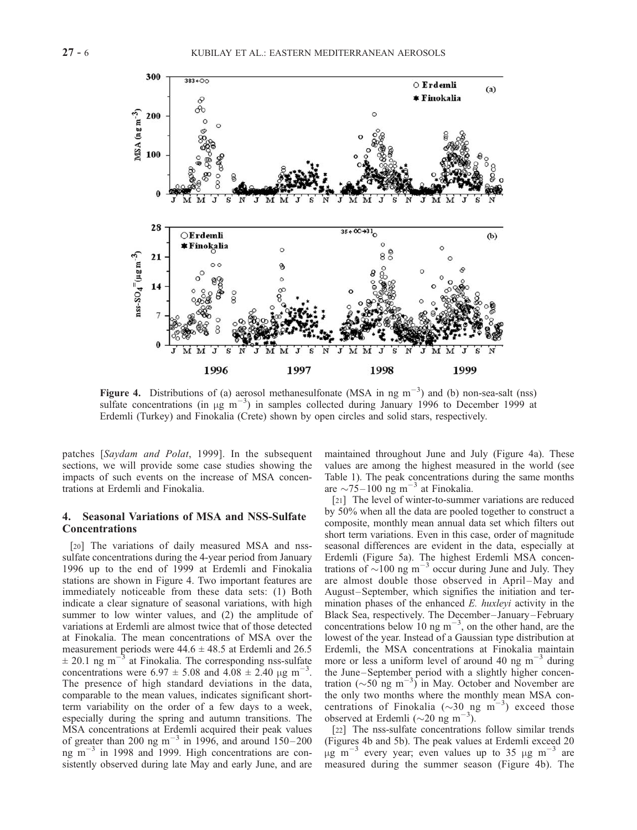

Figure 4. Distributions of (a) aerosol methanesulfonate (MSA in ng  $m^{-3}$ ) and (b) non-sea-salt (nss) sulfate concentrations (in  $\mu$ g m<sup>-3</sup>) in samples collected during January 1996 to December 1999 at Erdemli (Turkey) and Finokalia (Crete) shown by open circles and solid stars, respectively.

patches [Saydam and Polat, 1999]. In the subsequent sections, we will provide some case studies showing the impacts of such events on the increase of MSA concentrations at Erdemli and Finokalia.

# 4. Seasonal Variations of MSA and NSS-Sulfate Concentrations

[20] The variations of daily measured MSA and nsssulfate concentrations during the 4-year period from January 1996 up to the end of 1999 at Erdemli and Finokalia stations are shown in Figure 4. Two important features are immediately noticeable from these data sets: (1) Both indicate a clear signature of seasonal variations, with high summer to low winter values, and (2) the amplitude of variations at Erdemli are almost twice that of those detected at Finokalia. The mean concentrations of MSA over the measurement periods were  $44.6 \pm 48.5$  at Erdemli and 26.5  $\pm$  20.1 ng m<sup>-3</sup> at Finokalia. The corresponding nss-sulfate concentrations were 6.97  $\pm$  5.08 and 4.08  $\pm$  2.40 µg m<sup>-3</sup>. The presence of high standard deviations in the data, comparable to the mean values, indicates significant shortterm variability on the order of a few days to a week, especially during the spring and autumn transitions. The MSA concentrations at Erdemli acquired their peak values of greater than 200 ng  $m^{-3}$  in 1996, and around 150–200 ng  $m^{-3}$  in 1998 and 1999. High concentrations are consistently observed during late May and early June, and are

maintained throughout June and July (Figure 4a). These values are among the highest measured in the world (see Table 1). The peak concentrations during the same months are  $\sim$ 75–100 ng m<sup>-3</sup> at Finokalia.

[21] The level of winter-to-summer variations are reduced by 50% when all the data are pooled together to construct a composite, monthly mean annual data set which filters out short term variations. Even in this case, order of magnitude seasonal differences are evident in the data, especially at Erdemli (Figure 5a). The highest Erdemli MSA concentrations of  $\sim$ 100 ng m<sup>-3</sup> occur during June and July. They are almost double those observed in April-May and August-September, which signifies the initiation and termination phases of the enhanced E. huxleyi activity in the Black Sea, respectively. The December – January –February concentrations below 10 ng  $m^{-3}$ , on the other hand, are the lowest of the year. Instead of a Gaussian type distribution at Erdemli, the MSA concentrations at Finokalia maintain more or less a uniform level of around 40 ng  $m^{-3}$  during the June–September period with a slightly higher concentration  $(\sim 50 \text{ ng m}^{-3})$  in May. October and November are the only two months where the monthly mean MSA concentrations of Finokalia  $(\sim 30 \text{ ng m}^{-3})$  exceed those observed at Erdemli ( $\sim$ 20 ng m<sup>-3</sup>).

[22] The nss-sulfate concentrations follow similar trends (Figures 4b and 5b). The peak values at Erdemli exceed 20  $\mu$ g m<sup>-3</sup> every year; even values up to 35  $\mu$ g m<sup>-3</sup> are measured during the summer season (Figure 4b). The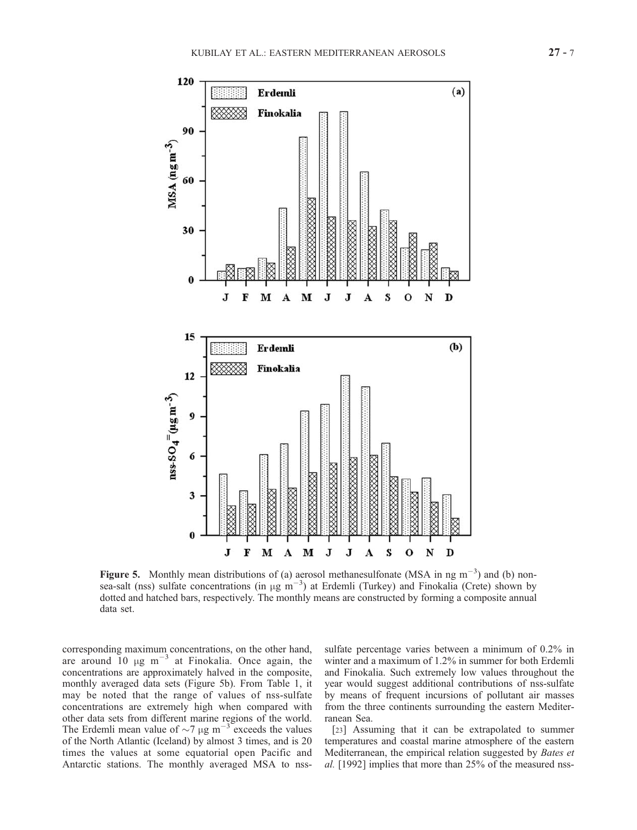

Figure 5. Monthly mean distributions of (a) aerosol methanesulfonate (MSA in ng  $m^{-3}$ ) and (b) nonsea-salt (nss) sulfate concentrations (in  $\mu$ g m<sup>-3</sup>) at Erdemli (Turkey) and Finokalia (Crete) shown by dotted and hatched bars, respectively. The monthly means are constructed by forming a composite annual data set.

corresponding maximum concentrations, on the other hand, are around  $10 \mu g m^{-3}$  at Finokalia. Once again, the concentrations are approximately halved in the composite, monthly averaged data sets (Figure 5b). From Table 1, it may be noted that the range of values of nss-sulfate concentrations are extremely high when compared with other data sets from different marine regions of the world. The Erdemli mean value of  $\sim$ 7  $\mu$ g m<sup>-3</sup> exceeds the values of the North Atlantic (Iceland) by almost 3 times, and is 20 times the values at some equatorial open Pacific and Antarctic stations. The monthly averaged MSA to nss-

sulfate percentage varies between a minimum of 0.2% in winter and a maximum of 1.2% in summer for both Erdemli and Finokalia. Such extremely low values throughout the year would suggest additional contributions of nss-sulfate by means of frequent incursions of pollutant air masses from the three continents surrounding the eastern Mediterranean Sea.

[23] Assuming that it can be extrapolated to summer temperatures and coastal marine atmosphere of the eastern Mediterranean, the empirical relation suggested by Bates et al. [1992] implies that more than 25% of the measured nss-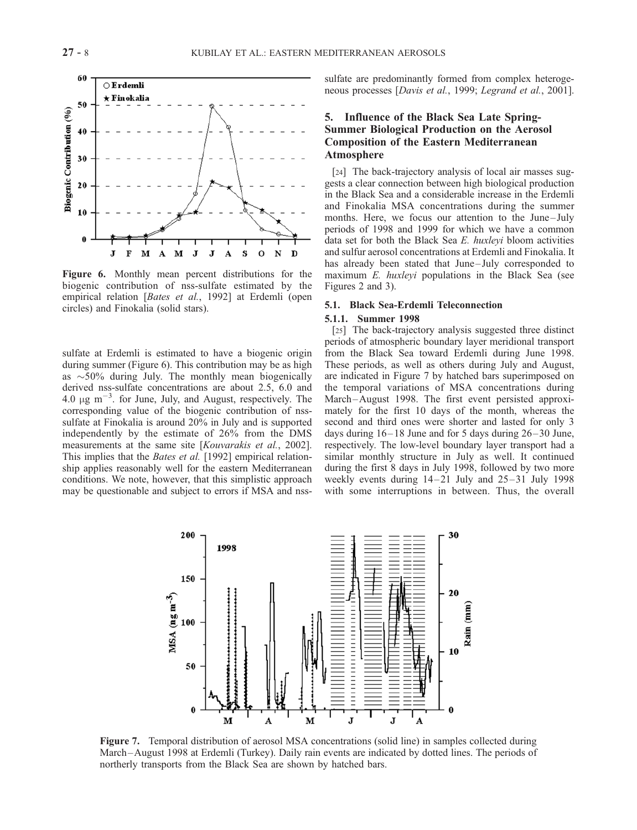

Figure 6. Monthly mean percent distributions for the biogenic contribution of nss-sulfate estimated by the empirical relation [Bates et al., 1992] at Erdemli (open circles) and Finokalia (solid stars).

sulfate at Erdemli is estimated to have a biogenic origin during summer (Figure 6). This contribution may be as high as  $\sim$  50% during July. The monthly mean biogenically derived nss-sulfate concentrations are about 2.5, 6.0 and 4.0  $\mu$ g m<sup>-3</sup>. for June, July, and August, respectively. The corresponding value of the biogenic contribution of nsssulfate at Finokalia is around 20% in July and is supported independently by the estimate of 26% from the DMS measurements at the same site [Kouvarakis et al., 2002]. This implies that the *Bates et al.* [1992] empirical relationship applies reasonably well for the eastern Mediterranean conditions. We note, however, that this simplistic approach may be questionable and subject to errors if MSA and nsssulfate are predominantly formed from complex heterogeneous processes [Davis et al., 1999; Legrand et al., 2001].

# 5. Influence of the Black Sea Late Spring-Summer Biological Production on the Aerosol Composition of the Eastern Mediterranean Atmosphere

[24] The back-trajectory analysis of local air masses suggests a clear connection between high biological production in the Black Sea and a considerable increase in the Erdemli and Finokalia MSA concentrations during the summer months. Here, we focus our attention to the June-July periods of 1998 and 1999 for which we have a common data set for both the Black Sea E. huxleyi bloom activities and sulfur aerosol concentrations at Erdemli and Finokalia. It has already been stated that June-July corresponded to maximum E. huxleyi populations in the Black Sea (see Figures 2 and 3).

### 5.1. Black Sea-Erdemli Teleconnection

#### 5.1.1. Summer 1998

[25] The back-trajectory analysis suggested three distinct periods of atmospheric boundary layer meridional transport from the Black Sea toward Erdemli during June 1998. These periods, as well as others during July and August, are indicated in Figure 7 by hatched bars superimposed on the temporal variations of MSA concentrations during March –August 1998. The first event persisted approximately for the first 10 days of the month, whereas the second and third ones were shorter and lasted for only 3 days during 16– 18 June and for 5 days during 26–30 June, respectively. The low-level boundary layer transport had a similar monthly structure in July as well. It continued during the first 8 days in July 1998, followed by two more weekly events during  $14-21$  July and  $25-31$  July 1998 with some interruptions in between. Thus, the overall



Figure 7. Temporal distribution of aerosol MSA concentrations (solid line) in samples collected during March –August 1998 at Erdemli (Turkey). Daily rain events are indicated by dotted lines. The periods of northerly transports from the Black Sea are shown by hatched bars.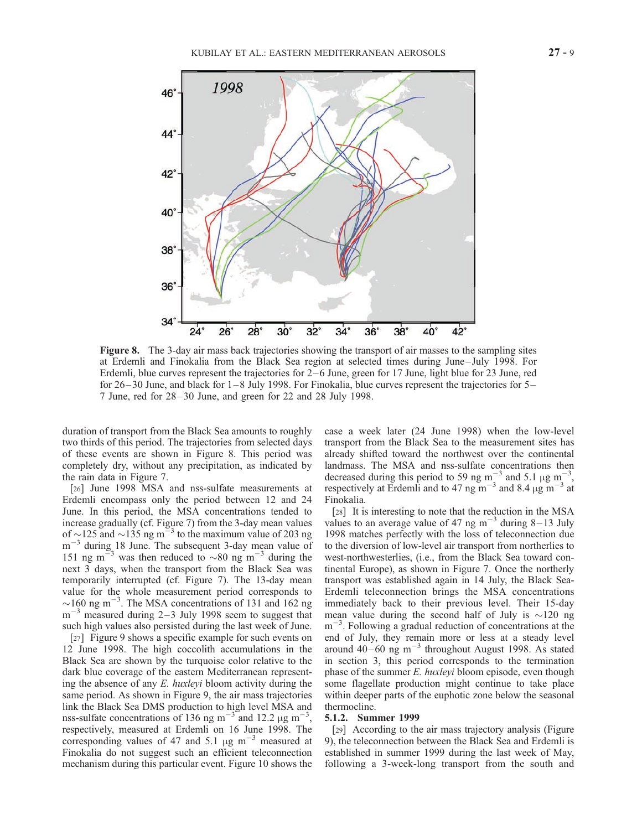

Figure 8. The 3-day air mass back trajectories showing the transport of air masses to the sampling sites at Erdemli and Finokalia from the Black Sea region at selected times during June– July 1998. For Erdemli, blue curves represent the trajectories for 2 – 6 June, green for 17 June, light blue for 23 June, red for 26– 30 June, and black for 1 –8 July 1998. For Finokalia, blue curves represent the trajectories for 5 – 7 June, red for 28– 30 June, and green for 22 and 28 July 1998.

duration of transport from the Black Sea amounts to roughly two thirds of this period. The trajectories from selected days of these events are shown in Figure 8. This period was completely dry, without any precipitation, as indicated by the rain data in Figure 7.

[26] June 1998 MSA and nss-sulfate measurements at Erdemli encompass only the period between 12 and 24 June. In this period, the MSA concentrations tended to increase gradually (cf. Figure 7) from the 3-day mean values of  $\sim$ 125 and  $\sim$ 135 ng m<sup>-3</sup> to the maximum value of 203 ng  $m<sup>-3</sup>$  during 18 June. The subsequent 3-day mean value of 151 ng m<sup> $=$ 3</sup> was then reduced to  $\sim$ 80 ng m<sup>-3</sup> during the next 3 days, when the transport from the Black Sea was temporarily interrupted (cf. Figure 7). The 13-day mean value for the whole measurement period corresponds to  $\sim$ 160 ng m<sup>-3</sup>. The MSA concentrations of 131 and 162 ng  $m^{-3}$  measured during 2–3 July 1998 seem to suggest that such high values also persisted during the last week of June.

[27] Figure 9 shows a specific example for such events on 12 June 1998. The high coccolith accumulations in the Black Sea are shown by the turquoise color relative to the dark blue coverage of the eastern Mediterranean representing the absence of any E. huxleyi bloom activity during the same period. As shown in Figure 9, the air mass trajectories link the Black Sea DMS production to high level MSA and nss-sulfate concentrations of 136 ng m<sup>-3</sup> and 12.2  $\mu$ g m<sup>-3</sup>, respectively, measured at Erdemli on 16 June 1998. The corresponding values of 47 and 5.1  $\mu$ g m<sup>-3</sup> measured at Finokalia do not suggest such an efficient teleconnection mechanism during this particular event. Figure 10 shows the

case a week later (24 June 1998) when the low-level transport from the Black Sea to the measurement sites has already shifted toward the northwest over the continental landmass. The MSA and nss-sulfate concentrations then decreased during this period to 59 ng m<sup>-3</sup> and 5.1  $\mu$ g m<sup>-3</sup>, respectively at Erdemli and to 47 ng  $\text{m}^{-3}$  and 8.4  $\mu$ g m<sup>-3</sup> at Finokalia.

[28] It is interesting to note that the reduction in the MSA values to an average value of 47 ng  $m<sup>-3</sup>$  during 8–13 July 1998 matches perfectly with the loss of teleconnection due to the diversion of low-level air transport from northerlies to west-northwesterlies, (i.e., from the Black Sea toward continental Europe), as shown in Figure 7. Once the northerly transport was established again in 14 July, the Black Sea-Erdemli teleconnection brings the MSA concentrations immediately back to their previous level. Their 15-day mean value during the second half of July is  $\sim$ 120 ng m<sup>-3</sup>. Following a gradual reduction of concentrations at the end of July, they remain more or less at a steady level around  $40-60$  ng m<sup>-3</sup> throughout August 1998. As stated in section 3, this period corresponds to the termination phase of the summer E. huxleyi bloom episode, even though some flagellate production might continue to take place within deeper parts of the euphotic zone below the seasonal thermocline.

#### 5.1.2. Summer 1999

[29] According to the air mass trajectory analysis (Figure 9), the teleconnection between the Black Sea and Erdemli is established in summer 1999 during the last week of May, following a 3-week-long transport from the south and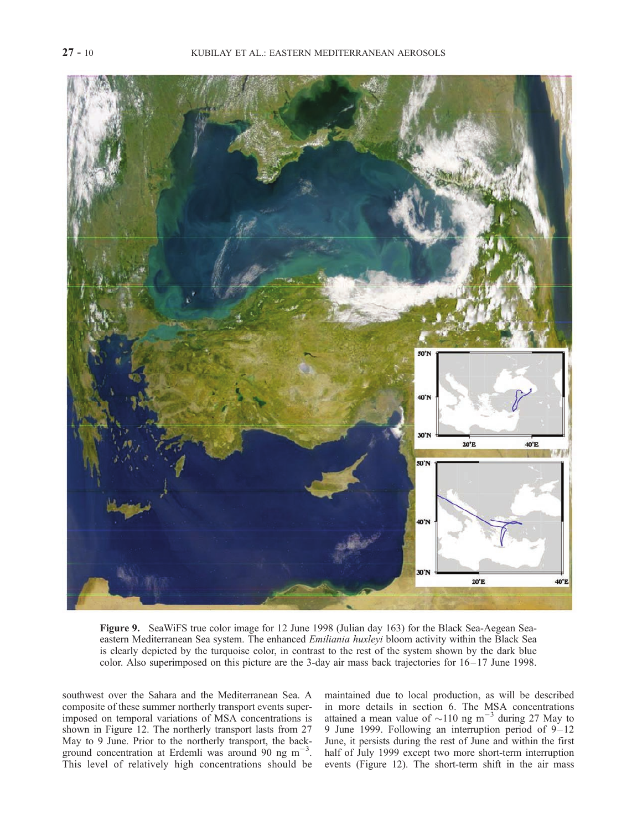

Figure 9. SeaWiFS true color image for 12 June 1998 (Julian day 163) for the Black Sea-Aegean Seaeastern Mediterranean Sea system. The enhanced *Emiliania huxleyi* bloom activity within the Black Sea is clearly depicted by the turquoise color, in contrast to the rest of the system shown by the dark blue color. Also superimposed on this picture are the 3-day air mass back trajectories for  $16-17$  June 1998.

southwest over the Sahara and the Mediterranean Sea. A composite of these summer northerly transport events superimposed on temporal variations of MSA concentrations is shown in Figure 12. The northerly transport lasts from 27 May to 9 June. Prior to the northerly transport, the background concentration at Erdemli was around 90 ng  $m^{-3}$ . This level of relatively high concentrations should be

maintained due to local production, as will be described in more details in section 6. The MSA concentrations attained a mean value of  $\sim$ 110 ng m<sup>-3</sup> during 27 May to 9 June 1999. Following an interruption period of  $9-12$ June, it persists during the rest of June and within the first half of July 1999 except two more short-term interruption events (Figure 12). The short-term shift in the air mass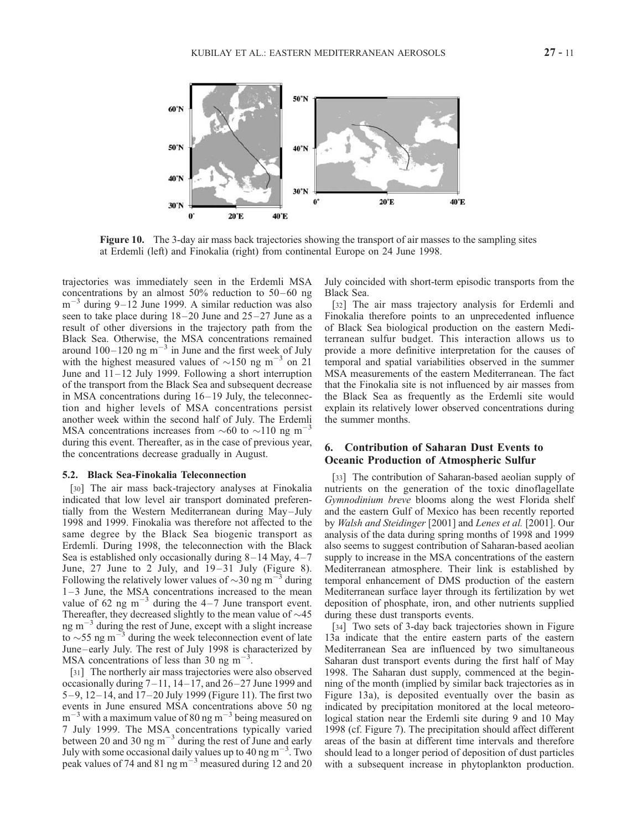

Figure 10. The 3-day air mass back trajectories showing the transport of air masses to the sampling sites at Erdemli (left) and Finokalia (right) from continental Europe on 24 June 1998.

trajectories was immediately seen in the Erdemli MSA concentrations by an almost  $50\%$  reduction to  $50-60$  ng  $m^{-3}$  during 9–12 June 1999. A similar reduction was also seen to take place during  $18-20$  June and  $25-27$  June as a result of other diversions in the trajectory path from the Black Sea. Otherwise, the MSA concentrations remained around  $100-120$  ng m<sup>-3</sup> in June and the first week of July with the highest measured values of  $\sim$ 150 ng m<sup>-3</sup> on 21 June and  $11-12$  July 1999. Following a short interruption of the transport from the Black Sea and subsequent decrease in MSA concentrations during 16– 19 July, the teleconnection and higher levels of MSA concentrations persist another week within the second half of July. The Erdemli MSA concentrations increases from  $\sim 60$  to  $\sim 110$  ng m<sup>-3</sup> during this event. Thereafter, as in the case of previous year, the concentrations decrease gradually in August.

#### 5.2. Black Sea-Finokalia Teleconnection

[30] The air mass back-trajectory analyses at Finokalia indicated that low level air transport dominated preferentially from the Western Mediterranean during May –July 1998 and 1999. Finokalia was therefore not affected to the same degree by the Black Sea biogenic transport as Erdemli. During 1998, the teleconnection with the Black Sea is established only occasionally during  $8-14$  May,  $4-7$ June,  $27$  June to  $2$  July, and  $19-31$  July (Figure 8). Following the relatively lower values of  $\sim$ 30 ng m<sup>-3</sup> during 1-3 June, the MSA concentrations increased to the mean value of  $62$  ng m<sup>-3</sup> during the 4-7 June transport event. Thereafter, they decreased slightly to the mean value of  $\sim$ 45 ng  $m^{-3}$  during the rest of June, except with a slight increase to  $\sim$  55 ng m<sup>-3</sup> during the week teleconnection event of late June –early July. The rest of July 1998 is characterized by MSA concentrations of less than 30 ng m<sup>-3</sup>.

[31] The northerly air mass trajectories were also observed occasionally during  $7-11$ ,  $14-17$ , and  $26-27$  June 1999 and 5 – 9, 12 –14, and 17– 20 July 1999 (Figure 11). The first two events in June ensured MSA concentrations above 50 ng  $m^{-3}$  with a maximum value of 80 ng m<sup>-3</sup> being measured on 7 July 1999. The MSA concentrations typically varied between 20 and 30 ng  $m^{-3}$  during the rest of June and early July with some occasional daily values up to 40 ng m<sup>-3</sup>. Two peak values of 74 and 81 ng  $m^{-3}$  measured during 12 and 20

July coincided with short-term episodic transports from the Black Sea.

[32] The air mass trajectory analysis for Erdemli and Finokalia therefore points to an unprecedented influence of Black Sea biological production on the eastern Mediterranean sulfur budget. This interaction allows us to provide a more definitive interpretation for the causes of temporal and spatial variabilities observed in the summer MSA measurements of the eastern Mediterranean. The fact that the Finokalia site is not influenced by air masses from the Black Sea as frequently as the Erdemli site would explain its relatively lower observed concentrations during the summer months.

# 6. Contribution of Saharan Dust Events to Oceanic Production of Atmospheric Sulfur

[33] The contribution of Saharan-based aeolian supply of nutrients on the generation of the toxic dinoflagellate Gymnodinium breve blooms along the west Florida shelf and the eastern Gulf of Mexico has been recently reported by Walsh and Steidinger [2001] and Lenes et al. [2001]. Our analysis of the data during spring months of 1998 and 1999 also seems to suggest contribution of Saharan-based aeolian supply to increase in the MSA concentrations of the eastern Mediterranean atmosphere. Their link is established by temporal enhancement of DMS production of the eastern Mediterranean surface layer through its fertilization by wet deposition of phosphate, iron, and other nutrients supplied during these dust transports events.

[34] Two sets of 3-day back trajectories shown in Figure 13a indicate that the entire eastern parts of the eastern Mediterranean Sea are influenced by two simultaneous Saharan dust transport events during the first half of May 1998. The Saharan dust supply, commenced at the beginning of the month (implied by similar back trajectories as in Figure 13a), is deposited eventually over the basin as indicated by precipitation monitored at the local meteorological station near the Erdemli site during 9 and 10 May 1998 (cf. Figure 7). The precipitation should affect different areas of the basin at different time intervals and therefore should lead to a longer period of deposition of dust particles with a subsequent increase in phytoplankton production.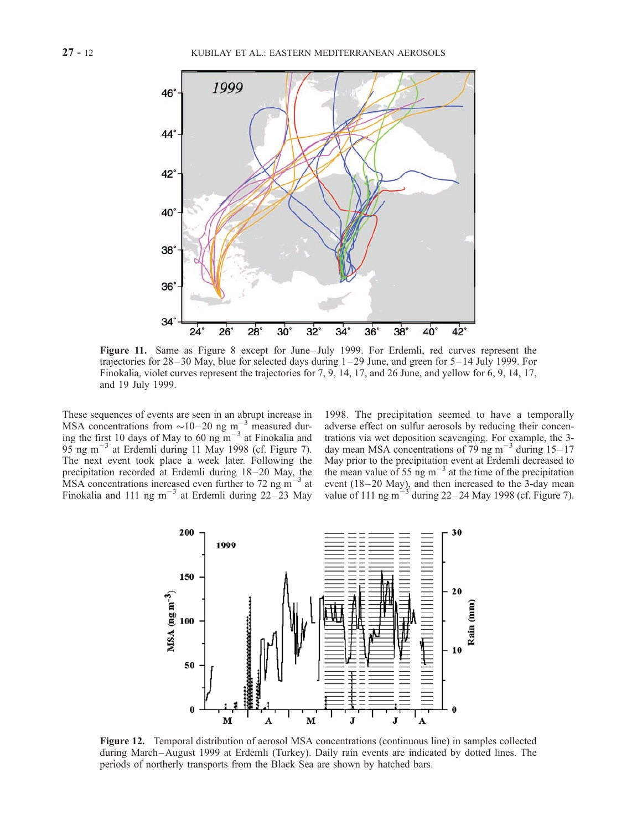

Figure 11. Same as Figure 8 except for June– July 1999. For Erdemli, red curves represent the trajectories for 28 –30 May, blue for selected days during 1 – 29 June, and green for 5– 14 July 1999. For Finokalia, violet curves represent the trajectories for 7, 9, 14, 17, and 26 June, and yellow for 6, 9, 14, 17, and 19 July 1999.

These sequences of events are seen in an abrupt increase in MSA concentrations from  $\sim$ 10–20 ng m<sup>-3</sup> measured during the first 10 days of May to 60 ng  $\text{m}^{-3}$  at Finokalia and 95 ng m<sup> $-3$ </sup> at Erdemli during 11 May 1998 (cf. Figure 7). The next event took place a week later. Following the precipitation recorded at Erdemli during  $18-20$  May, the MSA concentrations increased even further to 72 ng  $\text{m}^{-3}$  at Finokalia and 111 ng m<sup>-3</sup> at Erdemli during 22-23 May

1998. The precipitation seemed to have a temporally adverse effect on sulfur aerosols by reducing their concentrations via wet deposition scavenging. For example, the 3 day mean MSA concentrations of  $\frac{79}{9}$  ng m<sup>-3</sup> during 15-17 May prior to the precipitation event at Erdemli decreased to the mean value of 55 ng  $m^{-3}$  at the time of the precipitation event (18–20 May), and then increased to the 3-day mean value of 111 ng m<sup> $-3$ </sup> during 22–24 May 1998 (cf. Figure 7).



Figure 12. Temporal distribution of aerosol MSA concentrations (continuous line) in samples collected during March –August 1999 at Erdemli (Turkey). Daily rain events are indicated by dotted lines. The periods of northerly transports from the Black Sea are shown by hatched bars.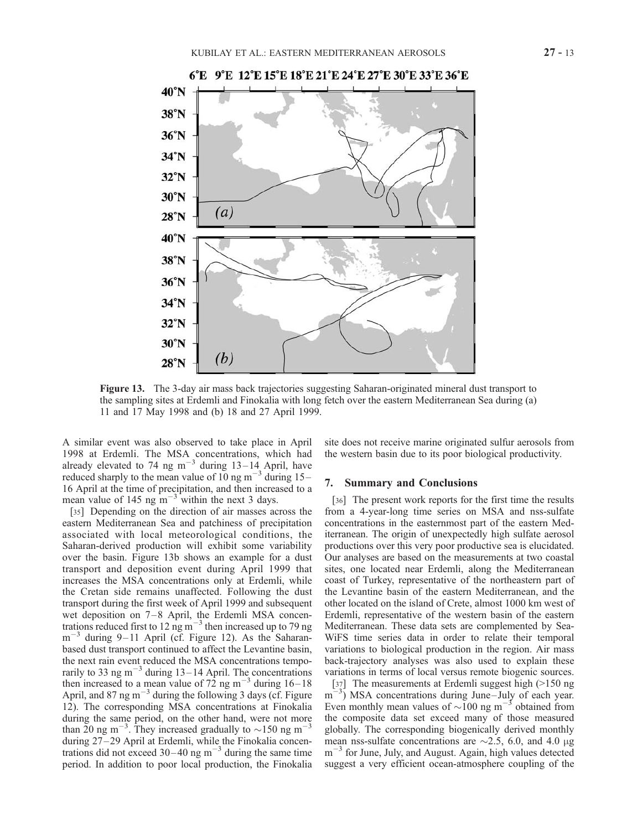

Figure 13. The 3-day air mass back trajectories suggesting Saharan-originated mineral dust transport to the sampling sites at Erdemli and Finokalia with long fetch over the eastern Mediterranean Sea during (a) 11 and 17 May 1998 and (b) 18 and 27 April 1999.

A similar event was also observed to take place in April 1998 at Erdemli. The MSA concentrations, which had already elevated to 74 ng  $m^{-3}$  during 13-14 April, have reduced sharply to the mean value of 10 ng  $m^{-3}$  during 15– 16 April at the time of precipitation, and then increased to a mean value of 145 ng  $m^{-3}$  within the next 3 days.

[35] Depending on the direction of air masses across the eastern Mediterranean Sea and patchiness of precipitation associated with local meteorological conditions, the Saharan-derived production will exhibit some variability over the basin. Figure 13b shows an example for a dust transport and deposition event during April 1999 that increases the MSA concentrations only at Erdemli, while the Cretan side remains unaffected. Following the dust transport during the first week of April 1999 and subsequent wet deposition on 7-8 April, the Erdemli MSA concentrations reduced first to 12 ng  $m^{-3}$  then increased up to 79 ng  $m^{-3}$  during 9–11 April (cf. Figure 12). As the Saharanbased dust transport continued to affect the Levantine basin, the next rain event reduced the MSA concentrations temporarily to 33 ng  $m^{-3}$  during 13–14 April. The concentrations then increased to a mean value of  $72$  ng m<sup>-3</sup> during 16–18 April, and 87 ng  $m^{-3}$  during the following 3 days (cf. Figure 12). The corresponding MSA concentrations at Finokalia during the same period, on the other hand, were not more than 20 ng m<sup>-3</sup>. They increased gradually to  $\sim$ 150 ng m<sup>-3</sup> during 27–29 April at Erdemli, while the Finokalia concentrations did not exceed  $30-40$  ng m<sup>-3</sup> during the same time period. In addition to poor local production, the Finokalia

site does not receive marine originated sulfur aerosols from the western basin due to its poor biological productivity.

### 7. Summary and Conclusions

[36] The present work reports for the first time the results from a 4-year-long time series on MSA and nss-sulfate concentrations in the easternmost part of the eastern Mediterranean. The origin of unexpectedly high sulfate aerosol productions over this very poor productive sea is elucidated. Our analyses are based on the measurements at two coastal sites, one located near Erdemli, along the Mediterranean coast of Turkey, representative of the northeastern part of the Levantine basin of the eastern Mediterranean, and the other located on the island of Crete, almost 1000 km west of Erdemli, representative of the western basin of the eastern Mediterranean. These data sets are complemented by Sea-WiFS time series data in order to relate their temporal variations to biological production in the region. Air mass back-trajectory analyses was also used to explain these variations in terms of local versus remote biogenic sources.

[37] The measurements at Erdemli suggest high (>150 ng  $m^{-3}$ ) MSA concentrations during June–July of each year. Even monthly mean values of  $\sim 100$  ng m<sup>-3</sup> obtained from the composite data set exceed many of those measured globally. The corresponding biogenically derived monthly mean nss-sulfate concentrations are  $\sim$ 2.5, 6.0, and 4.0  $\mu$ g  $m<sup>-3</sup>$  for June, July, and August. Again, high values detected suggest a very efficient ocean-atmosphere coupling of the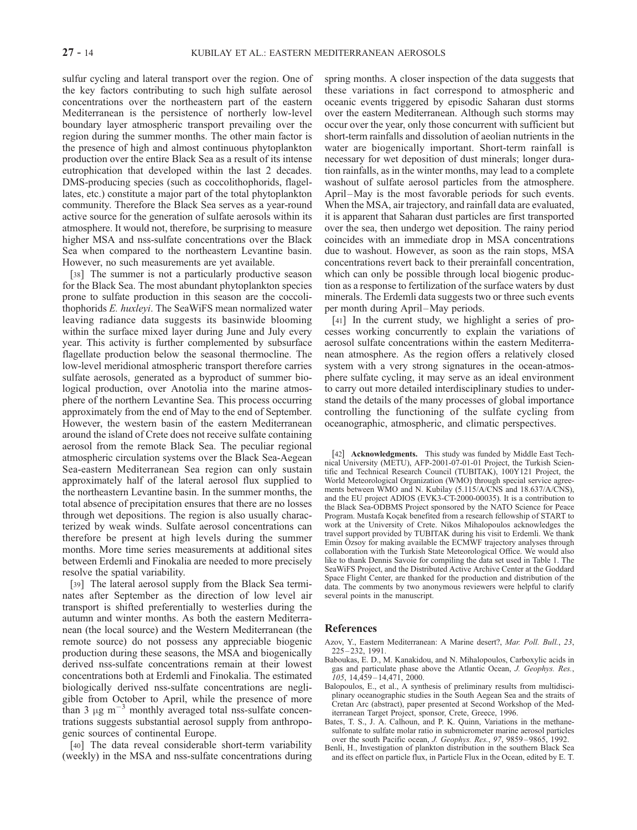sulfur cycling and lateral transport over the region. One of the key factors contributing to such high sulfate aerosol concentrations over the northeastern part of the eastern Mediterranean is the persistence of northerly low-level boundary layer atmospheric transport prevailing over the region during the summer months. The other main factor is the presence of high and almost continuous phytoplankton production over the entire Black Sea as a result of its intense eutrophication that developed within the last 2 decades. DMS-producing species (such as coccolithophorids, flagellates, etc.) constitute a major part of the total phytoplankton community. Therefore the Black Sea serves as a year-round active source for the generation of sulfate aerosols within its atmosphere. It would not, therefore, be surprising to measure higher MSA and nss-sulfate concentrations over the Black Sea when compared to the northeastern Levantine basin. However, no such measurements are yet available.

[38] The summer is not a particularly productive season for the Black Sea. The most abundant phytoplankton species prone to sulfate production in this season are the coccolithophorids E. huxleyi. The SeaWiFS mean normalized water leaving radiance data suggests its basinwide blooming within the surface mixed layer during June and July every year. This activity is further complemented by subsurface flagellate production below the seasonal thermocline. The low-level meridional atmospheric transport therefore carries sulfate aerosols, generated as a byproduct of summer biological production, over Anotolia into the marine atmosphere of the northern Levantine Sea. This process occurring approximately from the end of May to the end of September. However, the western basin of the eastern Mediterranean around the island of Crete does not receive sulfate containing aerosol from the remote Black Sea. The peculiar regional atmospheric circulation systems over the Black Sea-Aegean Sea-eastern Mediterranean Sea region can only sustain approximately half of the lateral aerosol flux supplied to the northeastern Levantine basin. In the summer months, the total absence of precipitation ensures that there are no losses through wet depositions. The region is also usually characterized by weak winds. Sulfate aerosol concentrations can therefore be present at high levels during the summer months. More time series measurements at additional sites between Erdemli and Finokalia are needed to more precisely resolve the spatial variability.

[39] The lateral aerosol supply from the Black Sea terminates after September as the direction of low level air transport is shifted preferentially to westerlies during the autumn and winter months. As both the eastern Mediterranean (the local source) and the Western Mediterranean (the remote source) do not possess any appreciable biogenic production during these seasons, the MSA and biogenically derived nss-sulfate concentrations remain at their lowest concentrations both at Erdemli and Finokalia. The estimated biologically derived nss-sulfate concentrations are negligible from October to April, while the presence of more than 3  $\mu$ g m<sup>-3</sup> monthly averaged total nss-sulfate concentrations suggests substantial aerosol supply from anthropogenic sources of continental Europe.

[40] The data reveal considerable short-term variability (weekly) in the MSA and nss-sulfate concentrations during spring months. A closer inspection of the data suggests that these variations in fact correspond to atmospheric and oceanic events triggered by episodic Saharan dust storms over the eastern Mediterranean. Although such storms may occur over the year, only those concurrent with sufficient but short-term rainfalls and dissolution of aeolian nutrients in the water are biogenically important. Short-term rainfall is necessary for wet deposition of dust minerals; longer duration rainfalls, as in the winter months, may lead to a complete washout of sulfate aerosol particles from the atmosphere. April–May is the most favorable periods for such events. When the MSA, air trajectory, and rainfall data are evaluated, it is apparent that Saharan dust particles are first transported over the sea, then undergo wet deposition. The rainy period coincides with an immediate drop in MSA concentrations due to washout. However, as soon as the rain stops, MSA concentrations revert back to their prerainfall concentration, which can only be possible through local biogenic production as a response to fertilization of the surface waters by dust minerals. The Erdemli data suggests two or three such events per month during April–May periods.

[41] In the current study, we highlight a series of processes working concurrently to explain the variations of aerosol sulfate concentrations within the eastern Mediterranean atmosphere. As the region offers a relatively closed system with a very strong signatures in the ocean-atmosphere sulfate cycling, it may serve as an ideal environment to carry out more detailed interdisciplinary studies to understand the details of the many processes of global importance controlling the functioning of the sulfate cycling from oceanographic, atmospheric, and climatic perspectives.

[42] **Acknowledgments.** This study was funded by Middle East Technical University (METU), AFP-2001-07-01-01 Project, the Turkish Scientific and Technical Research Council (TUBITAK), 100Y121 Project, the World Meteorological Organization (WMO) through special service agreements between WMO and N. Kubilay (5.115/A/CNS and 18.637/A/CNS), and the EU project ADIOS (EVK3-CT-2000-00035). It is a contribution to the Black Sea-ODBMS Project sponsored by the NATO Science for Peace Program. Mustafa Koçak benefited from a research fellowship of START to work at the University of Crete. Nikos Mihalopoulos acknowledges the travel support provided by TUBITAK during his visit to Erdemli. We thank Emin Özsoy for making available the ECMWF trajectory analyses through collaboration with the Turkish State Meteorological Office. We would also like to thank Dennis Savoie for compiling the data set used in Table 1. The SeaWiFS Project, and the Distributed Active Archive Center at the Goddard Space Flight Center, are thanked for the production and distribution of the data. The comments by two anonymous reviewers were helpful to clarify several points in the manuscript.

#### References

- Azov, Y., Eastern Mediterranean: A Marine desert?, Mar. Poll. Bull., 23, 225 – 232, 1991.
- Baboukas, E. D., M. Kanakidou, and N. Mihalopoulos, Carboxylic acids in gas and particulate phase above the Atlantic Ocean, J. Geophys. Res.,  $\overline{105}$ , 14,459 – 14,471, 2000.
- Balopoulos, E., et al., A synthesis of preliminary results from multidisciplinary oceanographic studies in the South Aegean Sea and the straits of Cretan Arc (abstract), paper presented at Second Workshop of the Mediterranean Target Project, sponsor, Crete, Greece, 1996.
- Bates, T. S., J. A. Calhoun, and P. K. Quinn, Variations in the methanesulfonate to sulfate molar ratio in submicrometer marine aerosol particles over the south Pacific ocean, J. Geophys. Res., 97, 9859–9865, 1992.
- Benli, H., Investigation of plankton distribution in the southern Black Sea and its effect on particle flux, in Particle Flux in the Ocean, edited by E. T.